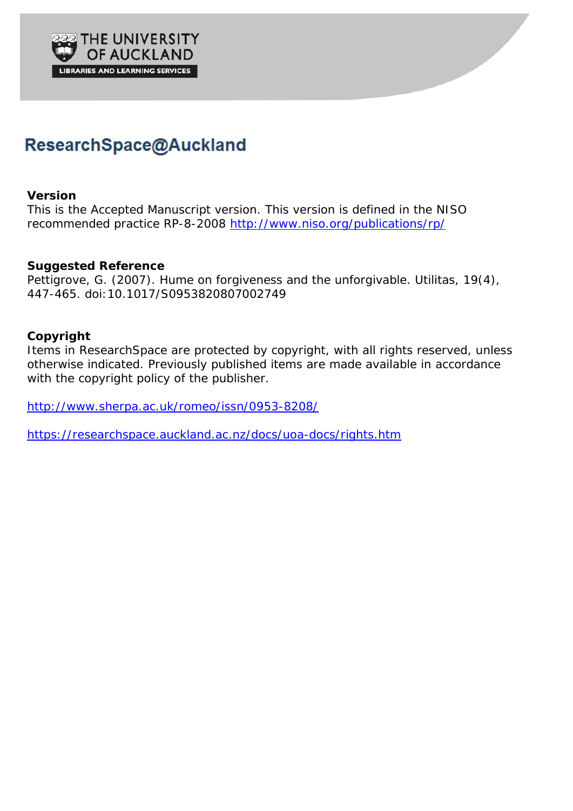

# ResearchSpace@Auckland

# **Version**

This is the Accepted Manuscript version. This version is defined in the NISO recommended practice RP-8-2008<http://www.niso.org/publications/rp/>

# **Suggested Reference**

Pettigrove, G. (2007). Hume on forgiveness and the unforgivable. *Utilitas, 19*(4), 447-465. doi:10.1017/S0953820807002749

# **Copyright**

Items in ResearchSpace are protected by copyright, with all rights reserved, unless otherwise indicated. Previously published items are made available in accordance with the copyright policy of the publisher.

<http://www.sherpa.ac.uk/romeo/issn/0953-8208/>

<https://researchspace.auckland.ac.nz/docs/uoa-docs/rights.htm>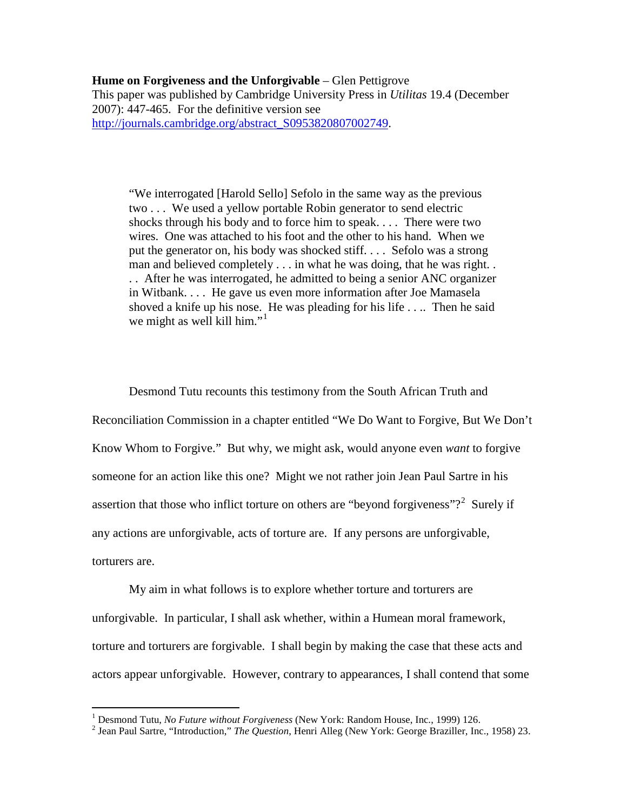## **Hume on Forgiveness and the Unforgivable** – Glen Pettigrove

This paper was published by Cambridge University Press in *Utilitas* 19.4 (December 2007): 447-465. For the definitive version see [http://journals.cambridge.org/abstract\\_S0953820807002749.](http://journals.cambridge.org/abstract_S0953820807002749)

"We interrogated [Harold Sello] Sefolo in the same way as the previous two . . . We used a yellow portable Robin generator to send electric shocks through his body and to force him to speak. . . . There were two wires. One was attached to his foot and the other to his hand. When we put the generator on, his body was shocked stiff. . . . Sefolo was a strong man and believed completely . . . in what he was doing, that he was right. . . . After he was interrogated, he admitted to being a senior ANC organizer in Witbank. . . . He gave us even more information after Joe Mamasela shoved a knife up his nose. He was pleading for his life . . .. Then he said we might as well kill him."<sup>[1](#page-1-0)</sup>

Desmond Tutu recounts this testimony from the South African Truth and Reconciliation Commission in a chapter entitled "We Do Want to Forgive, But We Don't Know Whom to Forgive." But why, we might ask, would anyone even *want* to forgive someone for an action like this one? Might we not rather join Jean Paul Sartre in his assertion that those who inflict torture on others are "beyond forgiveness"?<sup>[2](#page-1-1)</sup> Surely if any actions are unforgivable, acts of torture are. If any persons are unforgivable, torturers are.

My aim in what follows is to explore whether torture and torturers are unforgivable. In particular, I shall ask whether, within a Humean moral framework, torture and torturers are forgivable. I shall begin by making the case that these acts and actors appear unforgivable. However, contrary to appearances, I shall contend that some

<sup>&</sup>lt;sup>1</sup> Desmond Tutu, *No Future without Forgiveness* (New York: Random House, Inc., 1999) 126.

<span id="page-1-1"></span><span id="page-1-0"></span><sup>&</sup>lt;sup>2</sup> Jean Paul Sartre, "Introduction," *The Question*, Henri Alleg (New York: George Braziller, Inc., 1958) 23.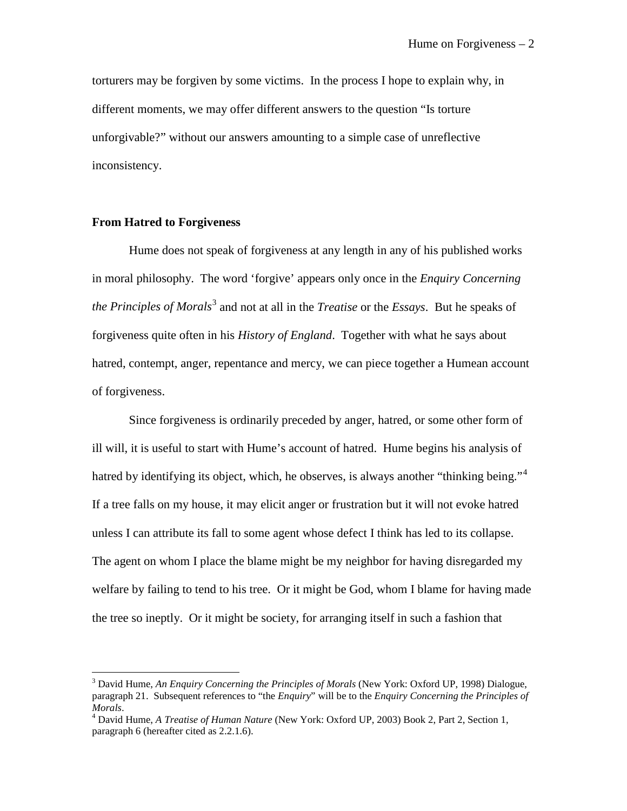torturers may be forgiven by some victims. In the process I hope to explain why, in different moments, we may offer different answers to the question "Is torture unforgivable?" without our answers amounting to a simple case of unreflective inconsistency.

#### **From Hatred to Forgiveness**

 $\overline{a}$ 

Hume does not speak of forgiveness at any length in any of his published works in moral philosophy. The word 'forgive' appears only once in the *Enquiry Concerning the Principles of Morals*[3](#page-2-0) and not at all in the *Treatise* or the *Essays*. But he speaks of forgiveness quite often in his *History of England*. Together with what he says about hatred, contempt, anger, repentance and mercy, we can piece together a Humean account of forgiveness.

Since forgiveness is ordinarily preceded by anger, hatred, or some other form of ill will, it is useful to start with Hume's account of hatred. Hume begins his analysis of hatred by identifying its object, which, he observes, is always another "thinking being."<sup>[4](#page-2-1)</sup> If a tree falls on my house, it may elicit anger or frustration but it will not evoke hatred unless I can attribute its fall to some agent whose defect I think has led to its collapse. The agent on whom I place the blame might be my neighbor for having disregarded my welfare by failing to tend to his tree. Or it might be God, whom I blame for having made the tree so ineptly. Or it might be society, for arranging itself in such a fashion that

<span id="page-2-0"></span><sup>3</sup> David Hume, *An Enquiry Concerning the Principles of Morals* (New York: Oxford UP, 1998) Dialogue, paragraph 21. Subsequent references to "the *Enquiry*" will be to the *Enquiry Concerning the Principles of Morals*. <sup>4</sup> David Hume, *A Treatise of Human Nature* (New York: Oxford UP, 2003) Book 2, Part 2, Section 1,

<span id="page-2-1"></span>paragraph 6 (hereafter cited as 2.2.1.6).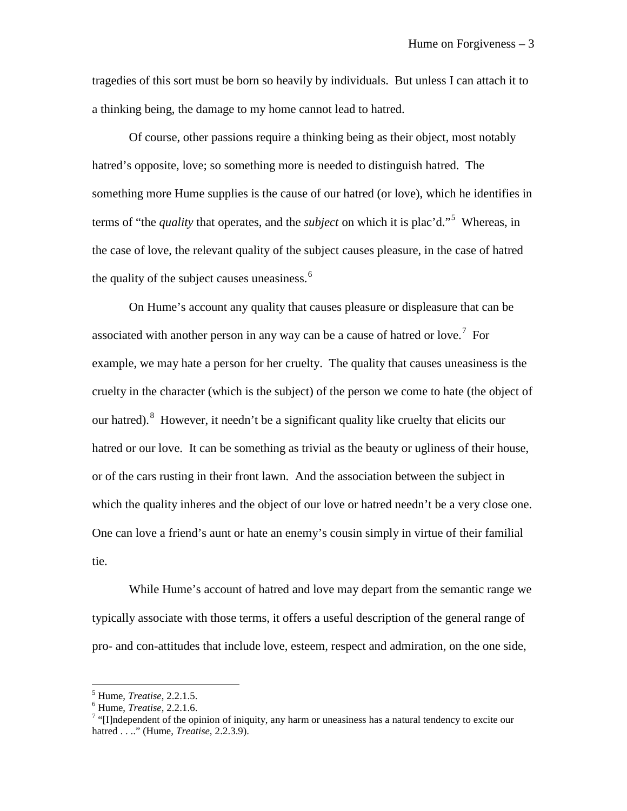tragedies of this sort must be born so heavily by individuals. But unless I can attach it to a thinking being, the damage to my home cannot lead to hatred.

Of course, other passions require a thinking being as their object, most notably hatred's opposite, love; so something more is needed to distinguish hatred. The something more Hume supplies is the cause of our hatred (or love), which he identifies in terms of "the *quality* that operates, and the *subject* on which it is plac'd."[5](#page-3-0) Whereas, in the case of love, the relevant quality of the subject causes pleasure, in the case of hatred the quality of the subject causes uneasiness.<sup>[6](#page-3-1)</sup>

On Hume's account any quality that causes pleasure or displeasure that can be associated with another person in any way can be a cause of hatred or love.<sup>[7](#page-3-2)</sup> For example, we may hate a person for her cruelty. The quality that causes uneasiness is the cruelty in the character (which is the subject) of the person we come to hate (the object of our hatred). <sup>[8](#page-3-2)</sup> However, it needn't be a significant quality like cruelty that elicits our hatred or our love. It can be something as trivial as the beauty or ugliness of their house, or of the cars rusting in their front lawn. And the association between the subject in which the quality inheres and the object of our love or hatred needn't be a very close one. One can love a friend's aunt or hate an enemy's cousin simply in virtue of their familial tie.

While Hume's account of hatred and love may depart from the semantic range we typically associate with those terms, it offers a useful description of the general range of pro- and con-attitudes that include love, esteem, respect and admiration, on the one side,

<span id="page-3-0"></span> $^5$  Hume, *Treatise*, 2.2.1.5.<br> $^6$  Hume, *Treatise*, 2.2.1.6.

<span id="page-3-2"></span><span id="page-3-1"></span><sup>&</sup>lt;sup>7</sup> "[I]ndependent of the opinion of iniquity, any harm or uneasiness has a natural tendency to excite our hatred . . .." (Hume, *Treatise*, 2.2.3.9).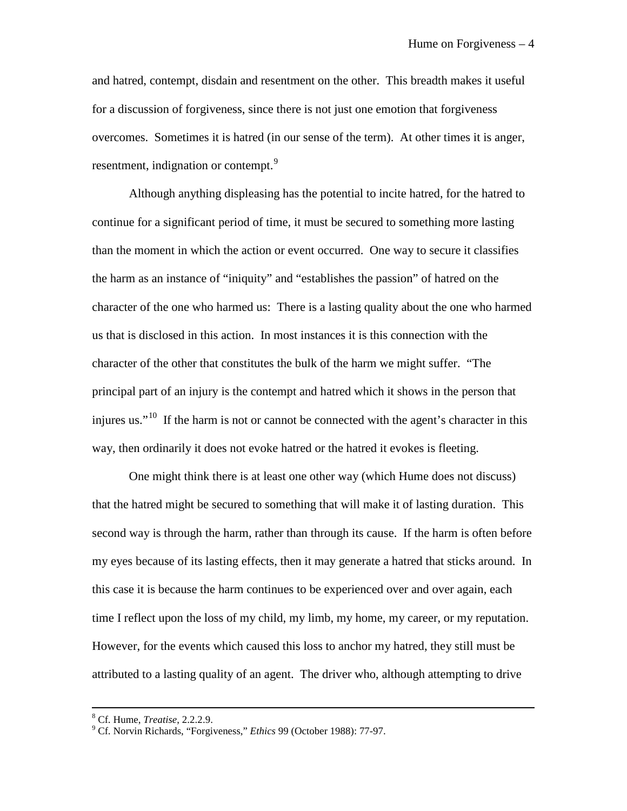and hatred, contempt, disdain and resentment on the other. This breadth makes it useful for a discussion of forgiveness, since there is not just one emotion that forgiveness overcomes. Sometimes it is hatred (in our sense of the term). At other times it is anger, resentment, indignation or contempt.<sup>[9](#page-4-0)</sup>

Although anything displeasing has the potential to incite hatred, for the hatred to continue for a significant period of time, it must be secured to something more lasting than the moment in which the action or event occurred. One way to secure it classifies the harm as an instance of "iniquity" and "establishes the passion" of hatred on the character of the one who harmed us: There is a lasting quality about the one who harmed us that is disclosed in this action. In most instances it is this connection with the character of the other that constitutes the bulk of the harm we might suffer. "The principal part of an injury is the contempt and hatred which it shows in the person that injures us."<sup>[10](#page-4-1)</sup> If the harm is not or cannot be connected with the agent's character in this way, then ordinarily it does not evoke hatred or the hatred it evokes is fleeting.

One might think there is at least one other way (which Hume does not discuss) that the hatred might be secured to something that will make it of lasting duration. This second way is through the harm, rather than through its cause. If the harm is often before my eyes because of its lasting effects, then it may generate a hatred that sticks around. In this case it is because the harm continues to be experienced over and over again, each time I reflect upon the loss of my child, my limb, my home, my career, or my reputation. However, for the events which caused this loss to anchor my hatred, they still must be attributed to a lasting quality of an agent. The driver who, although attempting to drive

<span id="page-4-1"></span> $8$  Cf. Hume, Treatise, 2.2.2.9.

<span id="page-4-0"></span><sup>&</sup>lt;sup>9</sup> Cf. Norvin Richards, "Forgiveness," *Ethics* 99 (October 1988): 77-97.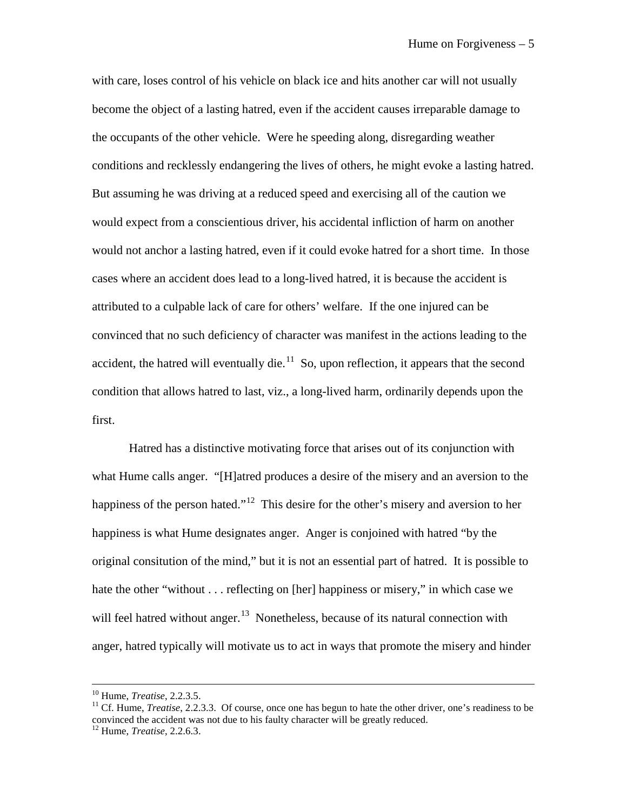with care, loses control of his vehicle on black ice and hits another car will not usually become the object of a lasting hatred, even if the accident causes irreparable damage to the occupants of the other vehicle. Were he speeding along, disregarding weather conditions and recklessly endangering the lives of others, he might evoke a lasting hatred. But assuming he was driving at a reduced speed and exercising all of the caution we would expect from a conscientious driver, his accidental infliction of harm on another would not anchor a lasting hatred, even if it could evoke hatred for a short time. In those cases where an accident does lead to a long-lived hatred, it is because the accident is attributed to a culpable lack of care for others' welfare. If the one injured can be convinced that no such deficiency of character was manifest in the actions leading to the accident, the hatred will eventually die. $11$  So, upon reflection, it appears that the second condition that allows hatred to last, viz., a long-lived harm, ordinarily depends upon the first.

Hatred has a distinctive motivating force that arises out of its conjunction with what Hume calls anger. "[H]atred produces a desire of the misery and an aversion to the happiness of the person hated."<sup>[12](#page-5-1)</sup> This desire for the other's misery and aversion to her happiness is what Hume designates anger. Anger is conjoined with hatred "by the original consitution of the mind," but it is not an essential part of hatred. It is possible to hate the other "without . . . reflecting on [her] happiness or misery," in which case we will feel hatred without anger.<sup>13</sup> Nonetheless, because of its natural connection with anger, hatred typically will motivate us to act in ways that promote the misery and hinder

<span id="page-5-2"></span><span id="page-5-0"></span><sup>&</sup>lt;sup>10</sup> Hume, *Treatise*, 2.2.3.5.<br><sup>11</sup> Cf. Hume, *Treatise*, 2.2.3.3. Of course, once one has begun to hate the other driver, one's readiness to be convinced the accident was not due to his faulty character will be greatly reduced.

<span id="page-5-1"></span><sup>12</sup> Hume, *Treatise*, 2.2.6.3.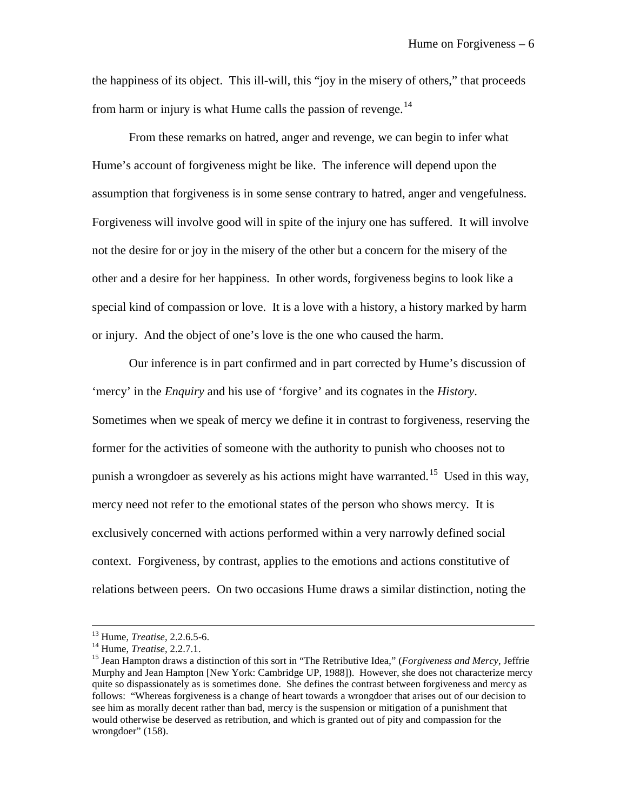the happiness of its object. This ill-will, this "joy in the misery of others," that proceeds from harm or injury is what Hume calls the passion of revenge. $^{14}$  $^{14}$  $^{14}$ 

From these remarks on hatred, anger and revenge, we can begin to infer what Hume's account of forgiveness might be like. The inference will depend upon the assumption that forgiveness is in some sense contrary to hatred, anger and vengefulness. Forgiveness will involve good will in spite of the injury one has suffered. It will involve not the desire for or joy in the misery of the other but a concern for the misery of the other and a desire for her happiness. In other words, forgiveness begins to look like a special kind of compassion or love. It is a love with a history, a history marked by harm or injury. And the object of one's love is the one who caused the harm.

Our inference is in part confirmed and in part corrected by Hume's discussion of 'mercy' in the *Enquiry* and his use of 'forgive' and its cognates in the *History*. Sometimes when we speak of mercy we define it in contrast to forgiveness, reserving the former for the activities of someone with the authority to punish who chooses not to punish a wrongdoer as severely as his actions might have warranted.<sup>15</sup> Used in this way, mercy need not refer to the emotional states of the person who shows mercy. It is exclusively concerned with actions performed within a very narrowly defined social context. Forgiveness, by contrast, applies to the emotions and actions constitutive of relations between peers. On two occasions Hume draws a similar distinction, noting the

 $^{13}$  Hume, *Treatise*, 2.2.6.5-6.

<span id="page-6-1"></span>

<span id="page-6-0"></span><sup>&</sup>lt;sup>14</sup> Hume, *Treatise*, 2.2.7.1.<br><sup>15</sup> Jean Hampton draws a distinction of this sort in "The Retributive Idea," (*Forgiveness and Mercy*, Jeffrie Murphy and Jean Hampton [New York: Cambridge UP, 1988]). However, she does not characterize mercy quite so dispassionately as is sometimes done. She defines the contrast between forgiveness and mercy as follows: "Whereas forgiveness is a change of heart towards a wrongdoer that arises out of our decision to see him as morally decent rather than bad, mercy is the suspension or mitigation of a punishment that would otherwise be deserved as retribution, and which is granted out of pity and compassion for the wrongdoer" (158).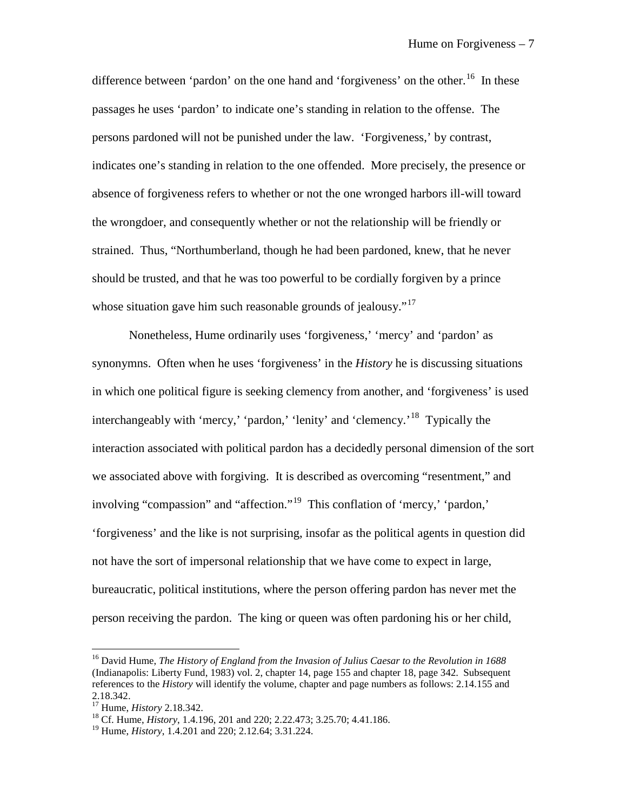difference between 'pardon' on the one hand and 'forgiveness' on the other.<sup>16</sup> In these passages he uses 'pardon' to indicate one's standing in relation to the offense. The persons pardoned will not be punished under the law. 'Forgiveness,' by contrast, indicates one's standing in relation to the one offended. More precisely, the presence or absence of forgiveness refers to whether or not the one wronged harbors ill-will toward the wrongdoer, and consequently whether or not the relationship will be friendly or strained. Thus, "Northumberland, though he had been pardoned, knew, that he never should be trusted, and that he was too powerful to be cordially forgiven by a prince whose situation gave him such reasonable grounds of jealousy."<sup>[17](#page-7-1)</sup>

Nonetheless, Hume ordinarily uses 'forgiveness,' 'mercy' and 'pardon' as synonymns. Often when he uses 'forgiveness' in the *History* he is discussing situations in which one political figure is seeking clemency from another, and 'forgiveness' is used interchangeably with 'mercy,' 'pardon,' 'lenity' and 'clemency.'<sup>18</sup> Typically the interaction associated with political pardon has a decidedly personal dimension of the sort we associated above with forgiving. It is described as overcoming "resentment," and involving "compassion" and "affection."<sup>19</sup> This conflation of 'mercy,' 'pardon,' 'forgiveness' and the like is not surprising, insofar as the political agents in question did not have the sort of impersonal relationship that we have come to expect in large, bureaucratic, political institutions, where the person offering pardon has never met the person receiving the pardon. The king or queen was often pardoning his or her child,

<span id="page-7-0"></span><sup>16</sup> David Hume, *The History of England from the Invasion of Julius Caesar to the Revolution in 1688* (Indianapolis: Liberty Fund, 1983) vol. 2, chapter 14, page 155 and chapter 18, page 342. Subsequent references to the *History* will identify the volume, chapter and page numbers as follows: 2.14.155 and

<span id="page-7-1"></span><sup>2.18.342.&</sup>lt;br><sup>17</sup> Hume, *History* 2.18.342.

<span id="page-7-2"></span><sup>&</sup>lt;sup>18</sup> Cf. Hume, *History*, 1.4.196, 201 and 220; 2.22.473; 3.25.70; 4.41.186.

<span id="page-7-3"></span><sup>19</sup> Hume, *History*, 1.4.201 and 220; 2.12.64; 3.31.224.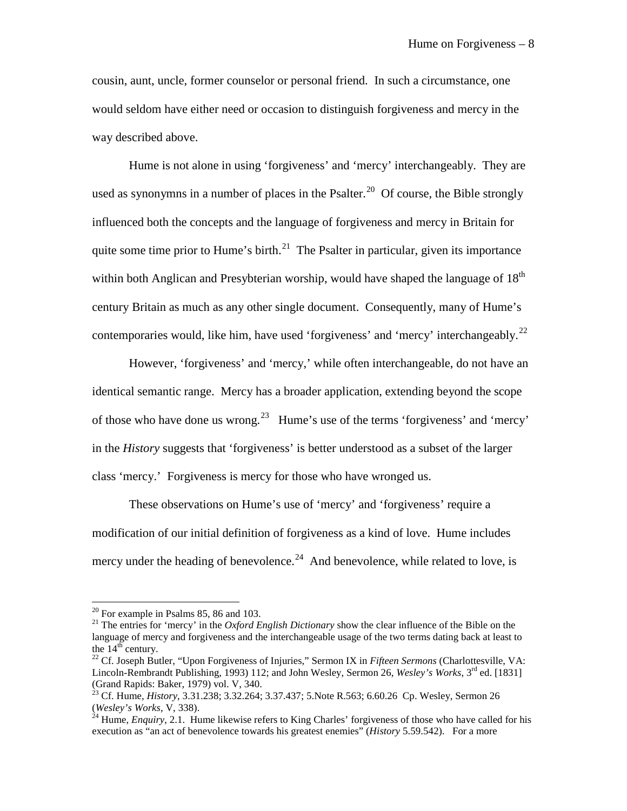cousin, aunt, uncle, former counselor or personal friend. In such a circumstance, one would seldom have either need or occasion to distinguish forgiveness and mercy in the way described above.

Hume is not alone in using 'forgiveness' and 'mercy' interchangeably. They are used as synonymns in a number of places in the Psalter.<sup>[20](#page-8-0)</sup> Of course, the Bible strongly influenced both the concepts and the language of forgiveness and mercy in Britain for quite some time prior to Hume's birth.<sup>21</sup> The Psalter in particular, given its importance within both Anglican and Presybterian worship, would have shaped the language of  $18<sup>th</sup>$ century Britain as much as any other single document. Consequently, many of Hume's contemporaries would, like him, have used 'forgiveness' and 'mercy' interchangeably.<sup>[22](#page-8-2)</sup>

However, 'forgiveness' and 'mercy,' while often interchangeable, do not have an identical semantic range. Mercy has a broader application, extending beyond the scope of those who have done us wrong.[23](#page-8-3) Hume's use of the terms 'forgiveness' and 'mercy' in the *History* suggests that 'forgiveness' is better understood as a subset of the larger class 'mercy.' Forgiveness is mercy for those who have wronged us.

These observations on Hume's use of 'mercy' and 'forgiveness' require a modification of our initial definition of forgiveness as a kind of love. Hume includes mercy under the heading of benevolence.<sup>24</sup> And benevolence, while related to love, is

 $20$  For example in Psalms 85, 86 and 103.

<span id="page-8-1"></span><span id="page-8-0"></span><sup>&</sup>lt;sup>21</sup> The entries for 'mercy' in the *Oxford English Dictionary* show the clear influence of the Bible on the language of mercy and forgiveness and the interchangeable usage of the two terms dating back at least to the 14<sup>th</sup> century.

<span id="page-8-2"></span><sup>&</sup>lt;sup>22</sup> Cf. Joseph Butler, "Upon Forgiveness of Injuries," Sermon IX in *Fifteen Sermons* (Charlottesville, VA: Lincoln-Rembrandt Publishing, 1993) 112; and John Wesley, Sermon 26, *Wesley's Works*, 3<sup>rd</sup> ed. [1831] (Grand Rapids: Baker, 1979) vol. V, 340.

<span id="page-8-3"></span><sup>&</sup>lt;sup>23</sup> Cf. Hume, *History*, 3.31.238; 3.32.264; 3.37.437; 5. Note R.563; 6.60.26 Cp. Wesley, Sermon 26 (*Wesley's Works*, V, 338). 24 Hume, *Enquiry*, 2.1. Hume likewise refers to King Charles' forgiveness of those who have called for his

<span id="page-8-4"></span>execution as "an act of benevolence towards his greatest enemies" (*History* 5.59.542). For a more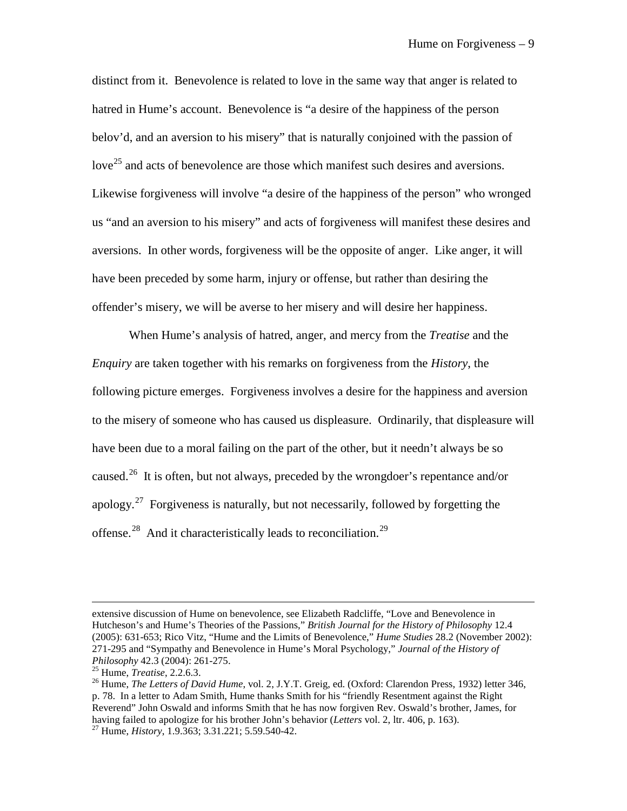distinct from it. Benevolence is related to love in the same way that anger is related to hatred in Hume's account. Benevolence is "a desire of the happiness of the person belov'd, and an aversion to his misery" that is naturally conjoined with the passion of love<sup>[25](#page-9-0)</sup> and acts of benevolence are those which manifest such desires and aversions. Likewise forgiveness will involve "a desire of the happiness of the person" who wronged us "and an aversion to his misery" and acts of forgiveness will manifest these desires and aversions. In other words, forgiveness will be the opposite of anger. Like anger, it will have been preceded by some harm, injury or offense, but rather than desiring the offender's misery, we will be averse to her misery and will desire her happiness.

When Hume's analysis of hatred, anger, and mercy from the *Treatise* and the *Enquiry* are taken together with his remarks on forgiveness from the *History*, the following picture emerges. Forgiveness involves a desire for the happiness and aversion to the misery of someone who has caused us displeasure. Ordinarily, that displeasure will have been due to a moral failing on the part of the other, but it needn't always be so caused.<sup>[26](#page-9-1)</sup> It is often, but not always, preceded by the wrongdoer's repentance and/or apology.<sup>[27](#page-9-2)</sup> Forgiveness is naturally, but not necessarily, followed by forgetting the offense.<sup>[28](#page-9-3)</sup> And it characteristically leads to reconciliation.<sup>29</sup>

extensive discussion of Hume on benevolence, see Elizabeth Radcliffe, "Love and Benevolence in Hutcheson's and Hume's Theories of the Passions," *British Journal for the History of Philosophy* 12.4 (2005): 631-653; Rico Vitz, "Hume and the Limits of Benevolence," *Hume Studies* 28.2 (November 2002): 271-295 and "Sympathy and Benevolence in Hume's Moral Psychology," *Journal of the History of Philosophy* 42.3 (2004): 261-275.<br><sup>25</sup> Hume, *Treatise*, 2.2.6.3.<br><sup>26</sup> Hume, *The Letters of David Hume*, vol. 2, J.Y.T. Greig, ed. (Oxford: Clarendon Press, 1932) letter 346,

<span id="page-9-3"></span><span id="page-9-2"></span><span id="page-9-1"></span><span id="page-9-0"></span>p. 78. In a letter to Adam Smith, Hume thanks Smith for his "friendly Resentment against the Right Reverend" John Oswald and informs Smith that he has now forgiven Rev. Oswald's brother, James, for having failed to apologize for his brother John's behavior (*Letters* vol. 2, ltr. 406, p. 163). <sup>27</sup> Hume, *History*, 1.9.363; 3.31.221; 5.59.540-42.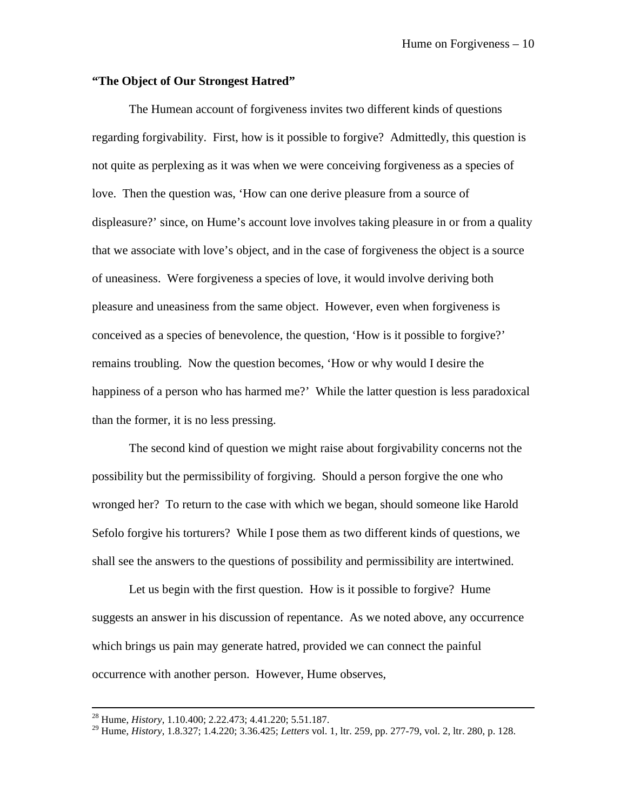## **"The Object of Our Strongest Hatred"**

The Humean account of forgiveness invites two different kinds of questions regarding forgivability. First, how is it possible to forgive? Admittedly, this question is not quite as perplexing as it was when we were conceiving forgiveness as a species of love. Then the question was, 'How can one derive pleasure from a source of displeasure?' since, on Hume's account love involves taking pleasure in or from a quality that we associate with love's object, and in the case of forgiveness the object is a source of uneasiness. Were forgiveness a species of love, it would involve deriving both pleasure and uneasiness from the same object. However, even when forgiveness is conceived as a species of benevolence, the question, 'How is it possible to forgive?' remains troubling. Now the question becomes, 'How or why would I desire the happiness of a person who has harmed me?' While the latter question is less paradoxical than the former, it is no less pressing.

The second kind of question we might raise about forgivability concerns not the possibility but the permissibility of forgiving. Should a person forgive the one who wronged her? To return to the case with which we began, should someone like Harold Sefolo forgive his torturers? While I pose them as two different kinds of questions, we shall see the answers to the questions of possibility and permissibility are intertwined.

Let us begin with the first question. How is it possible to forgive? Hume suggests an answer in his discussion of repentance. As we noted above, any occurrence which brings us pain may generate hatred, provided we can connect the painful occurrence with another person. However, Hume observes,

<sup>28</sup> Hume, *History*, 1.10.400; 2.22.473; 4.41.220; 5.51.187.

<sup>29</sup> Hume, *History*, 1.8.327; 1.4.220; 3.36.425; *Letters* vol. 1, ltr. 259, pp. 277-79, vol. 2, ltr. 280, p. 128.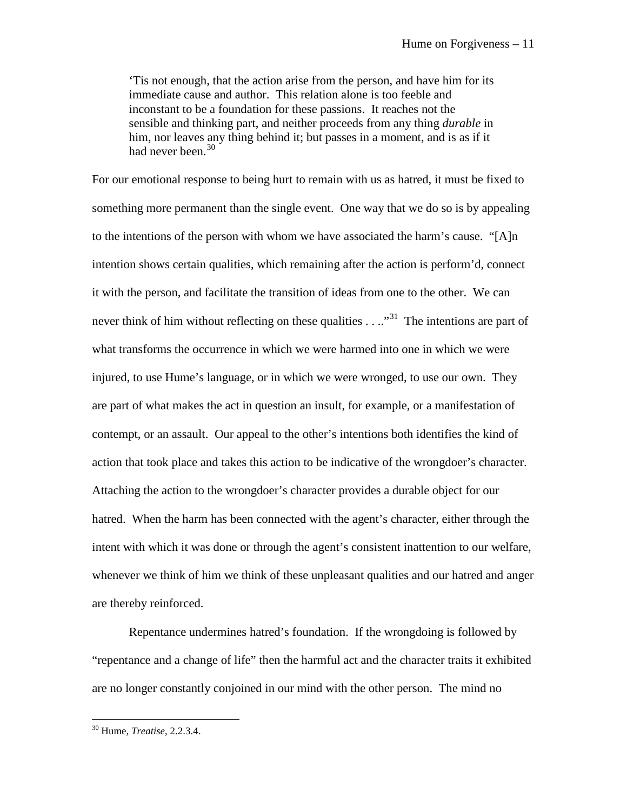'Tis not enough, that the action arise from the person, and have him for its immediate cause and author. This relation alone is too feeble and inconstant to be a foundation for these passions. It reaches not the sensible and thinking part, and neither proceeds from any thing *durable* in him, nor leaves any thing behind it; but passes in a moment, and is as if it had never been.<sup>[30](#page-11-0)</sup>

For our emotional response to being hurt to remain with us as hatred, it must be fixed to something more permanent than the single event. One way that we do so is by appealing to the intentions of the person with whom we have associated the harm's cause. "[A]n intention shows certain qualities, which remaining after the action is perform'd, connect it with the person, and facilitate the transition of ideas from one to the other. We can never think of him without reflecting on these qualities  $\dots$ <sup>31</sup> The intentions are part of what transforms the occurrence in which we were harmed into one in which we were injured, to use Hume's language, or in which we were wronged, to use our own. They are part of what makes the act in question an insult, for example, or a manifestation of contempt, or an assault. Our appeal to the other's intentions both identifies the kind of action that took place and takes this action to be indicative of the wrongdoer's character. Attaching the action to the wrongdoer's character provides a durable object for our hatred. When the harm has been connected with the agent's character, either through the intent with which it was done or through the agent's consistent inattention to our welfare, whenever we think of him we think of these unpleasant qualities and our hatred and anger are thereby reinforced.

Repentance undermines hatred's foundation. If the wrongdoing is followed by "repentance and a change of life" then the harmful act and the character traits it exhibited are no longer constantly conjoined in our mind with the other person. The mind no

<span id="page-11-1"></span><span id="page-11-0"></span><sup>30</sup> Hume, *Treatise*, 2.2.3.4.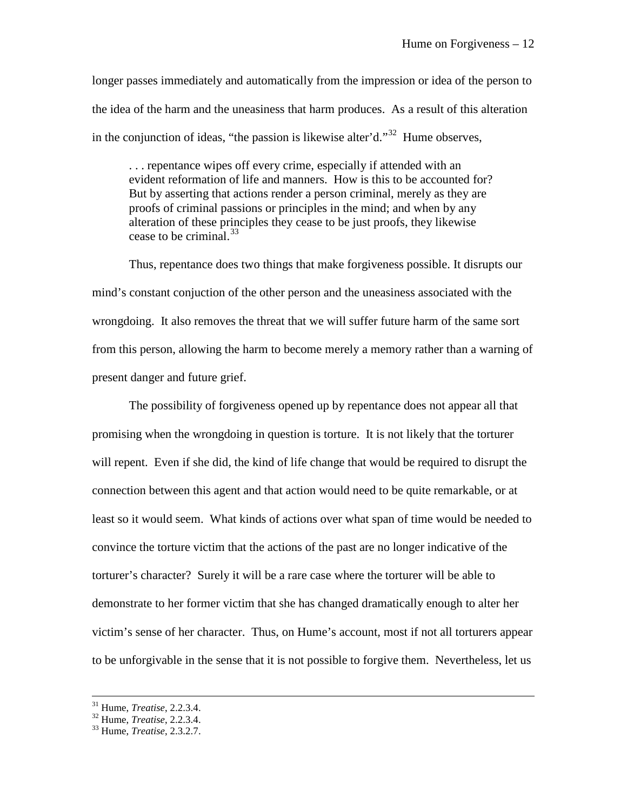longer passes immediately and automatically from the impression or idea of the person to the idea of the harm and the uneasiness that harm produces. As a result of this alteration in the conjunction of ideas, "the passion is likewise alter'd."<sup>32</sup> Hume observes,

. . . repentance wipes off every crime, especially if attended with an evident reformation of life and manners. How is this to be accounted for? But by asserting that actions render a person criminal, merely as they are proofs of criminal passions or principles in the mind; and when by any alteration of these principles they cease to be just proofs, they likewise cease to be criminal.<sup>[33](#page-12-1)</sup>

Thus, repentance does two things that make forgiveness possible. It disrupts our mind's constant conjuction of the other person and the uneasiness associated with the wrongdoing. It also removes the threat that we will suffer future harm of the same sort from this person, allowing the harm to become merely a memory rather than a warning of present danger and future grief.

The possibility of forgiveness opened up by repentance does not appear all that promising when the wrongdoing in question is torture. It is not likely that the torturer will repent. Even if she did, the kind of life change that would be required to disrupt the connection between this agent and that action would need to be quite remarkable, or at least so it would seem. What kinds of actions over what span of time would be needed to convince the torture victim that the actions of the past are no longer indicative of the torturer's character? Surely it will be a rare case where the torturer will be able to demonstrate to her former victim that she has changed dramatically enough to alter her victim's sense of her character. Thus, on Hume's account, most if not all torturers appear to be unforgivable in the sense that it is not possible to forgive them. Nevertheless, let us

 $31$  Hume, *Treatise*, 2.2.3.4.

<span id="page-12-1"></span><span id="page-12-0"></span><sup>31</sup> Hume, *Treatise*, 2.2.3.4. <sup>32</sup> Hume, *Treatise*, 2.2.3.4. <sup>33</sup> Hume, *Treatise*, 2.3.2.7.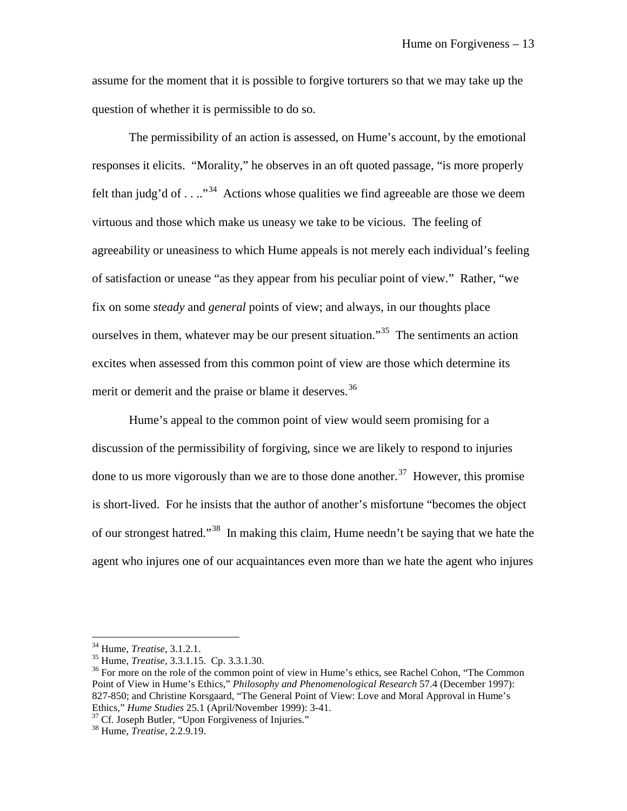assume for the moment that it is possible to forgive torturers so that we may take up the question of whether it is permissible to do so.

The permissibility of an action is assessed, on Hume's account, by the emotional responses it elicits. "Morality," he observes in an oft quoted passage, "is more properly felt than judg'd of  $\dots$   $\mathbb{R}^{34}$  $\mathbb{R}^{34}$  $\mathbb{R}^{34}$  Actions whose qualities we find agreeable are those we deem virtuous and those which make us uneasy we take to be vicious. The feeling of agreeability or uneasiness to which Hume appeals is not merely each individual's feeling of satisfaction or unease "as they appear from his peculiar point of view." Rather, "we fix on some *steady* and *general* points of view; and always, in our thoughts place ourselves in them, whatever may be our present situation.<sup>35</sup> The sentiments an action excites when assessed from this common point of view are those which determine its merit or demerit and the praise or blame it deserves.<sup>[36](#page-13-2)</sup>

Hume's appeal to the common point of view would seem promising for a discussion of the permissibility of forgiving, since we are likely to respond to injuries done to us more vigorously than we are to those done another.<sup>[37](#page-13-3)</sup> However, this promise is short-lived. For he insists that the author of another's misfortune "becomes the object of our strongest hatred."<sup>[38](#page-13-4)</sup> In making this claim, Hume needn't be saying that we hate the agent who injures one of our acquaintances even more than we hate the agent who injures

 $34$  Hume, *Treatise*, 3.1.2.1.

<span id="page-13-2"></span><span id="page-13-1"></span><span id="page-13-0"></span><sup>&</sup>lt;sup>35</sup> Hume, *Treatise*, 3.3.1.15. Cp. 3.3.1.30.<br><sup>36</sup> For more on the role of the common point of view in Hume's ethics, see Rachel Cohon, "The Common" Point of View in Hume's Ethics," *Philosophy and Phenomenological Research* 57.4 (December 1997): 827-850; and Christine Korsgaard, "The General Point of View: Love and Moral Approval in Hume's Ethics," *Hume Studies* 25.1 (April/November 1999): 3-41.

<span id="page-13-4"></span><span id="page-13-3"></span><sup>&</sup>lt;sup>37</sup> Cf. Joseph Butler, "Upon Forgiveness of Injuries."<br><sup>38</sup> Hume, *Treatise*, 2.2.9.19.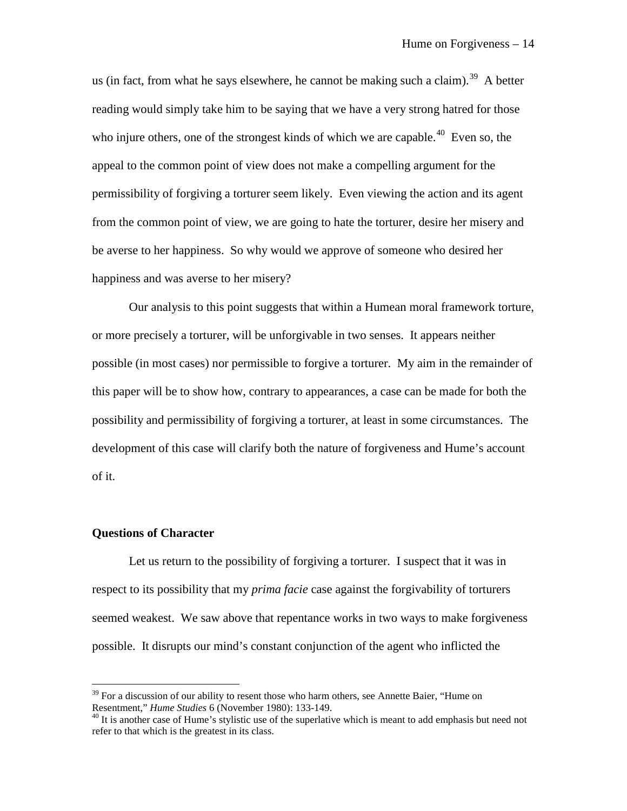us (in fact, from what he says elsewhere, he cannot be making such a claim).<sup>39</sup> A better reading would simply take him to be saying that we have a very strong hatred for those who injure others, one of the strongest kinds of which we are capable.<sup>40</sup> Even so, the appeal to the common point of view does not make a compelling argument for the permissibility of forgiving a torturer seem likely. Even viewing the action and its agent from the common point of view, we are going to hate the torturer, desire her misery and be averse to her happiness. So why would we approve of someone who desired her happiness and was averse to her misery?

Our analysis to this point suggests that within a Humean moral framework torture, or more precisely a torturer, will be unforgivable in two senses. It appears neither possible (in most cases) nor permissible to forgive a torturer. My aim in the remainder of this paper will be to show how, contrary to appearances, a case can be made for both the possibility and permissibility of forgiving a torturer, at least in some circumstances. The development of this case will clarify both the nature of forgiveness and Hume's account of it.

#### **Questions of Character**

 $\overline{a}$ 

Let us return to the possibility of forgiving a torturer. I suspect that it was in respect to its possibility that my *prima facie* case against the forgivability of torturers seemed weakest. We saw above that repentance works in two ways to make forgiveness possible. It disrupts our mind's constant conjunction of the agent who inflicted the

<span id="page-14-0"></span> $39$  For a discussion of our ability to resent those who harm others, see Annette Baier, "Hume on Resentment," *Hume Studies* 6 (November 1980): 133-149.

<span id="page-14-1"></span><sup>&</sup>lt;sup>40</sup> It is another case of Hume's stylistic use of the superlative which is meant to add emphasis but need not refer to that which is the greatest in its class.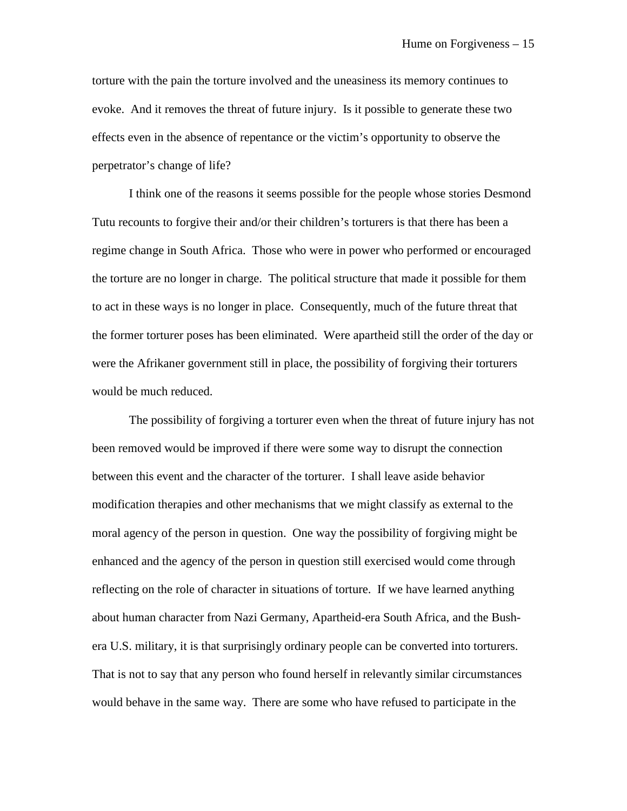torture with the pain the torture involved and the uneasiness its memory continues to evoke. And it removes the threat of future injury. Is it possible to generate these two effects even in the absence of repentance or the victim's opportunity to observe the perpetrator's change of life?

I think one of the reasons it seems possible for the people whose stories Desmond Tutu recounts to forgive their and/or their children's torturers is that there has been a regime change in South Africa. Those who were in power who performed or encouraged the torture are no longer in charge. The political structure that made it possible for them to act in these ways is no longer in place. Consequently, much of the future threat that the former torturer poses has been eliminated. Were apartheid still the order of the day or were the Afrikaner government still in place, the possibility of forgiving their torturers would be much reduced.

The possibility of forgiving a torturer even when the threat of future injury has not been removed would be improved if there were some way to disrupt the connection between this event and the character of the torturer. I shall leave aside behavior modification therapies and other mechanisms that we might classify as external to the moral agency of the person in question. One way the possibility of forgiving might be enhanced and the agency of the person in question still exercised would come through reflecting on the role of character in situations of torture. If we have learned anything about human character from Nazi Germany, Apartheid-era South Africa, and the Bushera U.S. military, it is that surprisingly ordinary people can be converted into torturers. That is not to say that any person who found herself in relevantly similar circumstances would behave in the same way. There are some who have refused to participate in the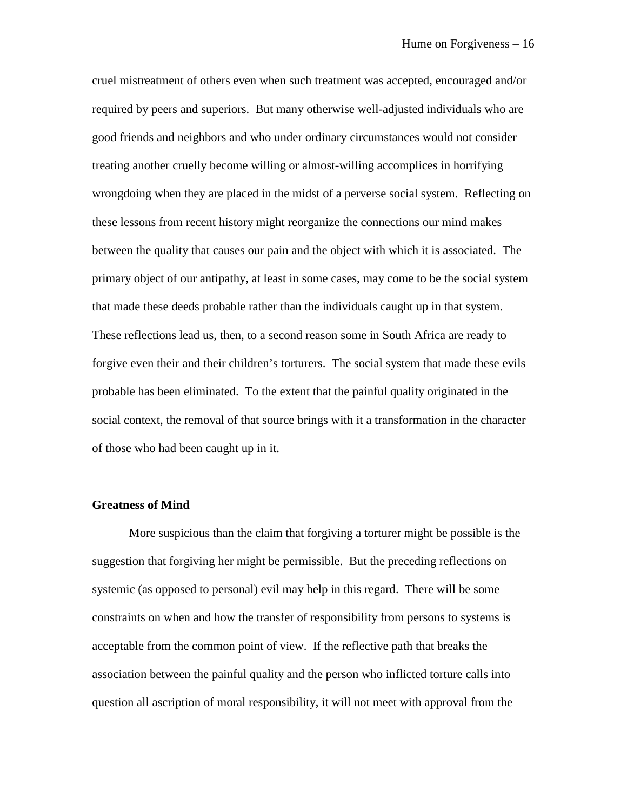cruel mistreatment of others even when such treatment was accepted, encouraged and/or required by peers and superiors. But many otherwise well-adjusted individuals who are good friends and neighbors and who under ordinary circumstances would not consider treating another cruelly become willing or almost-willing accomplices in horrifying wrongdoing when they are placed in the midst of a perverse social system. Reflecting on these lessons from recent history might reorganize the connections our mind makes between the quality that causes our pain and the object with which it is associated. The primary object of our antipathy, at least in some cases, may come to be the social system that made these deeds probable rather than the individuals caught up in that system. These reflections lead us, then, to a second reason some in South Africa are ready to forgive even their and their children's torturers. The social system that made these evils probable has been eliminated. To the extent that the painful quality originated in the social context, the removal of that source brings with it a transformation in the character of those who had been caught up in it.

## **Greatness of Mind**

More suspicious than the claim that forgiving a torturer might be possible is the suggestion that forgiving her might be permissible. But the preceding reflections on systemic (as opposed to personal) evil may help in this regard. There will be some constraints on when and how the transfer of responsibility from persons to systems is acceptable from the common point of view. If the reflective path that breaks the association between the painful quality and the person who inflicted torture calls into question all ascription of moral responsibility, it will not meet with approval from the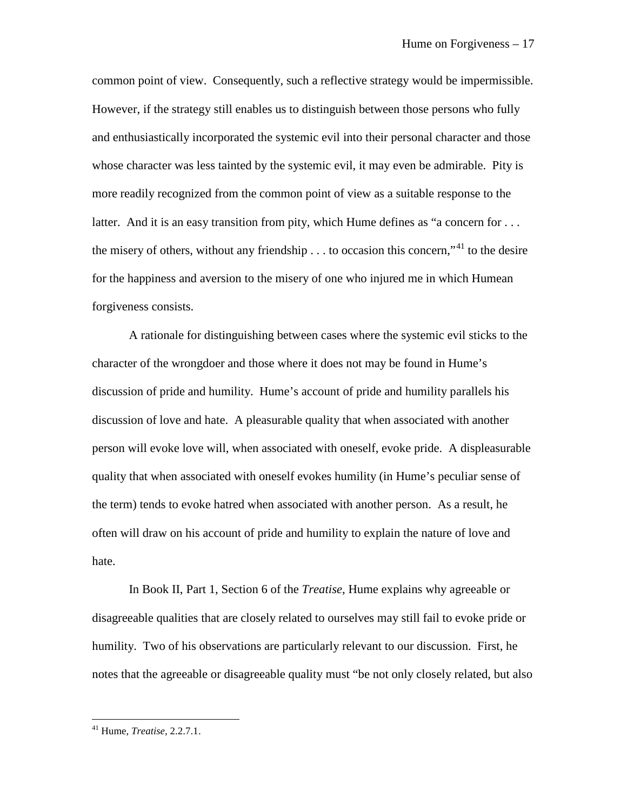common point of view. Consequently, such a reflective strategy would be impermissible. However, if the strategy still enables us to distinguish between those persons who fully and enthusiastically incorporated the systemic evil into their personal character and those whose character was less tainted by the systemic evil, it may even be admirable. Pity is more readily recognized from the common point of view as a suitable response to the latter. And it is an easy transition from pity, which Hume defines as "a concern for ... the misery of others, without any friendship  $\ldots$  to occasion this concern,"<sup>[41](#page-17-0)</sup> to the desire for the happiness and aversion to the misery of one who injured me in which Humean forgiveness consists.

A rationale for distinguishing between cases where the systemic evil sticks to the character of the wrongdoer and those where it does not may be found in Hume's discussion of pride and humility. Hume's account of pride and humility parallels his discussion of love and hate. A pleasurable quality that when associated with another person will evoke love will, when associated with oneself, evoke pride. A displeasurable quality that when associated with oneself evokes humility (in Hume's peculiar sense of the term) tends to evoke hatred when associated with another person. As a result, he often will draw on his account of pride and humility to explain the nature of love and hate.

In Book II, Part 1, Section 6 of the *Treatise*, Hume explains why agreeable or disagreeable qualities that are closely related to ourselves may still fail to evoke pride or humility. Two of his observations are particularly relevant to our discussion. First, he notes that the agreeable or disagreeable quality must "be not only closely related, but also

<span id="page-17-0"></span><sup>41</sup> Hume, *Treatise*, 2.2.7.1.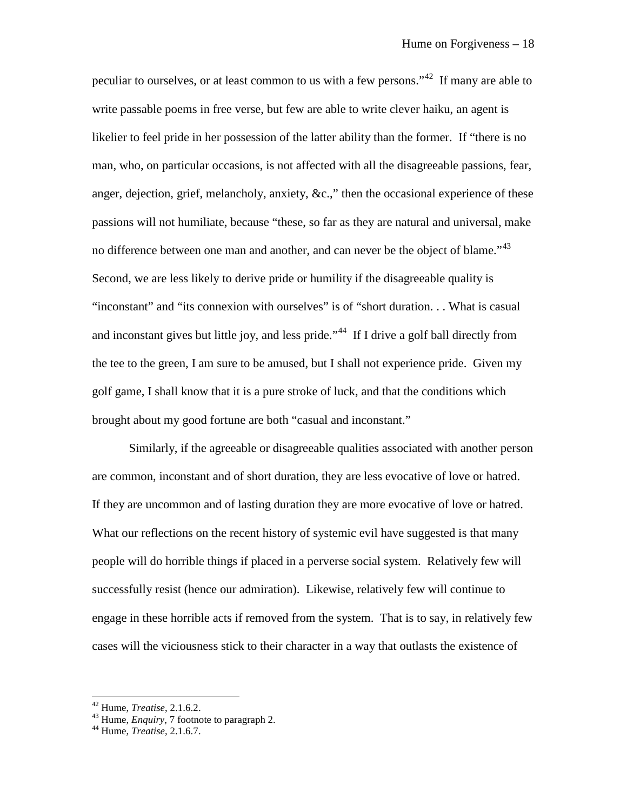peculiar to ourselves, or at least common to us with a few persons."<sup>[42](#page-18-0)</sup> If many are able to write passable poems in free verse, but few are able to write clever haiku, an agent is likelier to feel pride in her possession of the latter ability than the former. If "there is no man, who, on particular occasions, is not affected with all the disagreeable passions, fear, anger, dejection, grief, melancholy, anxiety, &c.," then the occasional experience of these passions will not humiliate, because "these, so far as they are natural and universal, make no difference between one man and another, and can never be the object of blame."<sup>[43](#page-18-1)</sup> Second, we are less likely to derive pride or humility if the disagreeable quality is "inconstant" and "its connexion with ourselves" is of "short duration. . . What is casual and inconstant gives but little joy, and less pride."<sup>44</sup> If I drive a golf ball directly from the tee to the green, I am sure to be amused, but I shall not experience pride. Given my golf game, I shall know that it is a pure stroke of luck, and that the conditions which brought about my good fortune are both "casual and inconstant."

Similarly, if the agreeable or disagreeable qualities associated with another person are common, inconstant and of short duration, they are less evocative of love or hatred. If they are uncommon and of lasting duration they are more evocative of love or hatred. What our reflections on the recent history of systemic evil have suggested is that many people will do horrible things if placed in a perverse social system. Relatively few will successfully resist (hence our admiration). Likewise, relatively few will continue to engage in these horrible acts if removed from the system. That is to say, in relatively few cases will the viciousness stick to their character in a way that outlasts the existence of

<span id="page-18-1"></span>

<span id="page-18-0"></span><sup>42</sup> Hume, *Treatise*, 2.1.6.2. <sup>43</sup> Hume, *Enquiry*, 7 footnote to paragraph 2. <sup>44</sup> Hume, *Treatise*, 2.1.6.7.

<span id="page-18-2"></span>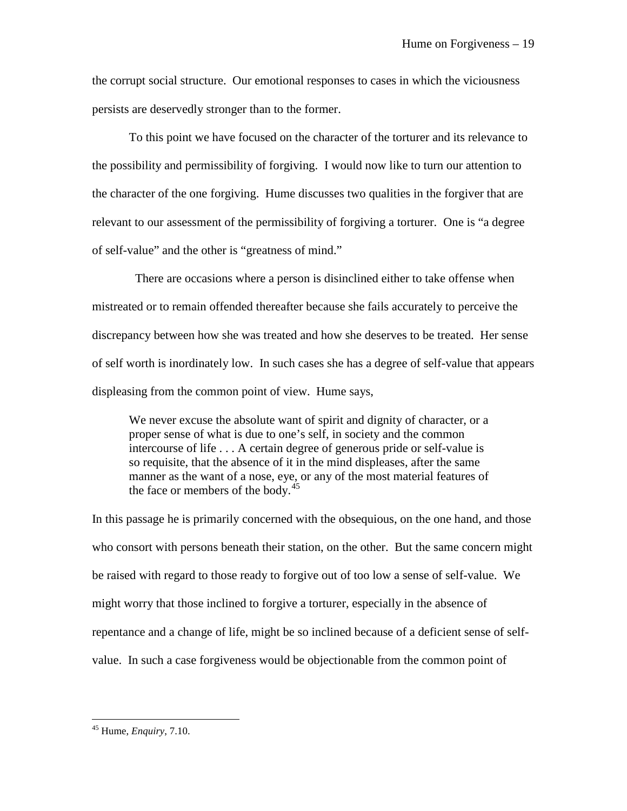the corrupt social structure. Our emotional responses to cases in which the viciousness persists are deservedly stronger than to the former.

To this point we have focused on the character of the torturer and its relevance to the possibility and permissibility of forgiving. I would now like to turn our attention to the character of the one forgiving. Hume discusses two qualities in the forgiver that are relevant to our assessment of the permissibility of forgiving a torturer. One is "a degree of self-value" and the other is "greatness of mind."

 There are occasions where a person is disinclined either to take offense when mistreated or to remain offended thereafter because she fails accurately to perceive the discrepancy between how she was treated and how she deserves to be treated. Her sense of self worth is inordinately low. In such cases she has a degree of self-value that appears displeasing from the common point of view. Hume says,

We never excuse the absolute want of spirit and dignity of character, or a proper sense of what is due to one's self, in society and the common intercourse of life . . . A certain degree of generous pride or self-value is so requisite, that the absence of it in the mind displeases, after the same manner as the want of a nose, eye, or any of the most material features of the face or members of the body. $45$ 

In this passage he is primarily concerned with the obsequious, on the one hand, and those who consort with persons beneath their station, on the other. But the same concern might be raised with regard to those ready to forgive out of too low a sense of self-value. We might worry that those inclined to forgive a torturer, especially in the absence of repentance and a change of life, might be so inclined because of a deficient sense of selfvalue. In such a case forgiveness would be objectionable from the common point of

<span id="page-19-0"></span><sup>45</sup> Hume, *Enquiry*, 7.10.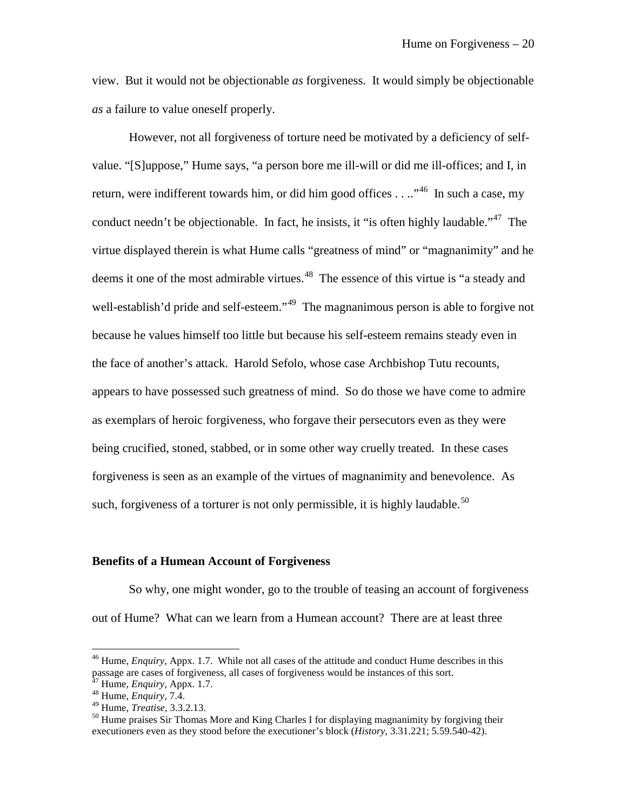view. But it would not be objectionable *as* forgiveness. It would simply be objectionable *as* a failure to value oneself properly.

However, not all forgiveness of torture need be motivated by a deficiency of selfvalue. "[S]uppose," Hume says, "a person bore me ill-will or did me ill-offices; and I, in return, were indifferent towards him, or did him good offices . . ..<sup>46</sup> In such a case, my conduct needn't be objectionable. In fact, he insists, it "is often highly laudable."<sup>[47](#page-20-1)</sup> The virtue displayed therein is what Hume calls "greatness of mind" or "magnanimity" and he deems it one of the most admirable virtues.<sup>48</sup> The essence of this virtue is "a steady and well-establish'd pride and self-esteem."<sup>[49](#page-20-3)</sup> The magnanimous person is able to forgive not because he values himself too little but because his self-esteem remains steady even in the face of another's attack. Harold Sefolo, whose case Archbishop Tutu recounts, appears to have possessed such greatness of mind. So do those we have come to admire as exemplars of heroic forgiveness, who forgave their persecutors even as they were being crucified, stoned, stabbed, or in some other way cruelly treated. In these cases forgiveness is seen as an example of the virtues of magnanimity and benevolence. As such, forgiveness of a torturer is not only permissible, it is highly laudable.<sup>[50](#page-20-4)</sup>

#### **Benefits of a Humean Account of Forgiveness**

So why, one might wonder, go to the trouble of teasing an account of forgiveness out of Hume? What can we learn from a Humean account? There are at least three

<span id="page-20-0"></span><sup>46</sup> Hume, *Enquiry*, Appx. 1.7. While not all cases of the attitude and conduct Hume describes in this passage are cases of forgiveness, all cases of forgiveness would be instances of this sort.<br><sup>47</sup> Hume, *Enquiry*, Appx. 1.7.

<span id="page-20-2"></span><span id="page-20-1"></span><sup>&</sup>lt;sup>48</sup> Hume, *Enquiry*, 7.4.<br><sup>49</sup> Hume, *Treatise*, 3.3.2.13.

<span id="page-20-4"></span><span id="page-20-3"></span><sup>&</sup>lt;sup>50</sup> Hume praises Sir Thomas More and King Charles I for displaying magnanimity by forgiving their executioners even as they stood before the executioner's block (*History*, 3.31.221; 5.59.540-42).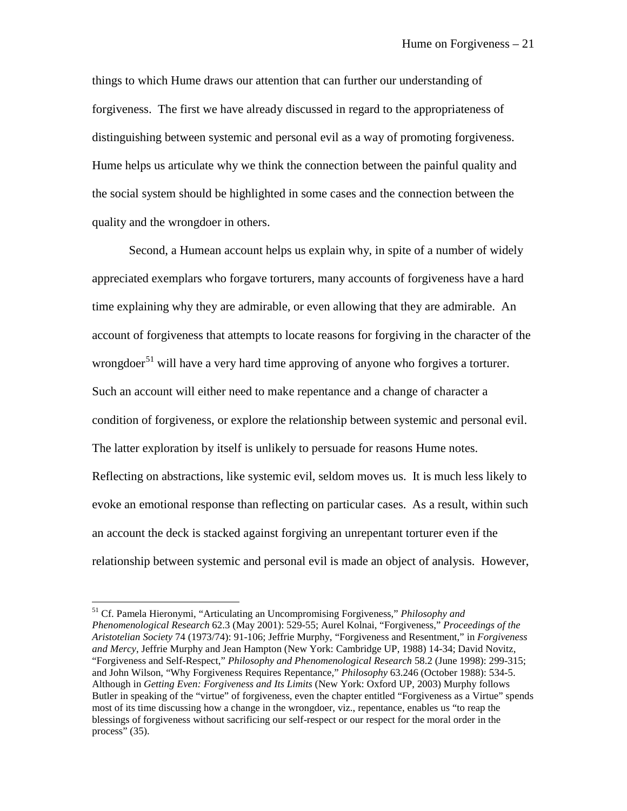things to which Hume draws our attention that can further our understanding of forgiveness. The first we have already discussed in regard to the appropriateness of distinguishing between systemic and personal evil as a way of promoting forgiveness. Hume helps us articulate why we think the connection between the painful quality and the social system should be highlighted in some cases and the connection between the quality and the wrongdoer in others.

Second, a Humean account helps us explain why, in spite of a number of widely appreciated exemplars who forgave torturers, many accounts of forgiveness have a hard time explaining why they are admirable, or even allowing that they are admirable. An account of forgiveness that attempts to locate reasons for forgiving in the character of the wrongdoer<sup>[51](#page-21-0)</sup> will have a very hard time approving of anyone who forgives a torturer. Such an account will either need to make repentance and a change of character a condition of forgiveness, or explore the relationship between systemic and personal evil. The latter exploration by itself is unlikely to persuade for reasons Hume notes. Reflecting on abstractions, like systemic evil, seldom moves us. It is much less likely to evoke an emotional response than reflecting on particular cases. As a result, within such an account the deck is stacked against forgiving an unrepentant torturer even if the relationship between systemic and personal evil is made an object of analysis. However,

<span id="page-21-0"></span><sup>51</sup> Cf. Pamela Hieronymi, "Articulating an Uncompromising Forgiveness," *Philosophy and Phenomenological Research* 62.3 (May 2001): 529-55; Aurel Kolnai, "Forgiveness," *Proceedings of the Aristotelian Society* 74 (1973/74): 91-106; Jeffrie Murphy, "Forgiveness and Resentment," in *Forgiveness and Mercy*, Jeffrie Murphy and Jean Hampton (New York: Cambridge UP, 1988) 14-34; David Novitz, "Forgiveness and Self-Respect," *Philosophy and Phenomenological Research* 58.2 (June 1998): 299-315; and John Wilson, "Why Forgiveness Requires Repentance," *Philosophy* 63.246 (October 1988): 534-5. Although in *Getting Even: Forgiveness and Its Limits* (New York: Oxford UP, 2003) Murphy follows Butler in speaking of the "virtue" of forgiveness, even the chapter entitled "Forgiveness as a Virtue" spends most of its time discussing how a change in the wrongdoer, viz., repentance, enables us "to reap the blessings of forgiveness without sacrificing our self-respect or our respect for the moral order in the process" (35).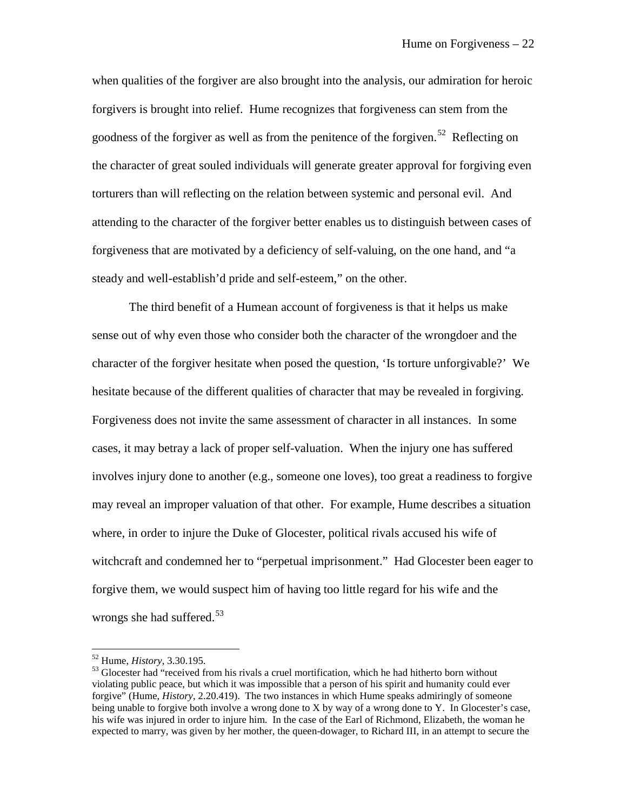when qualities of the forgiver are also brought into the analysis, our admiration for heroic forgivers is brought into relief. Hume recognizes that forgiveness can stem from the goodness of the forgiver as well as from the penitence of the forgiven.<sup>[52](#page-22-0)</sup> Reflecting on the character of great souled individuals will generate greater approval for forgiving even torturers than will reflecting on the relation between systemic and personal evil. And attending to the character of the forgiver better enables us to distinguish between cases of forgiveness that are motivated by a deficiency of self-valuing, on the one hand, and "a steady and well-establish'd pride and self-esteem," on the other.

The third benefit of a Humean account of forgiveness is that it helps us make sense out of why even those who consider both the character of the wrongdoer and the character of the forgiver hesitate when posed the question, 'Is torture unforgivable?' We hesitate because of the different qualities of character that may be revealed in forgiving. Forgiveness does not invite the same assessment of character in all instances. In some cases, it may betray a lack of proper self-valuation. When the injury one has suffered involves injury done to another (e.g., someone one loves), too great a readiness to forgive may reveal an improper valuation of that other. For example, Hume describes a situation where, in order to injure the Duke of Glocester, political rivals accused his wife of witchcraft and condemned her to "perpetual imprisonment." Had Glocester been eager to forgive them, we would suspect him of having too little regard for his wife and the wrongs she had suffered.<sup>53</sup>

<span id="page-22-1"></span><span id="page-22-0"></span><sup>&</sup>lt;sup>52</sup> Hume, *History*, 3.30.195.<br><sup>53</sup> Glocester had "received from his rivals a cruel mortification, which he had hitherto born without violating public peace, but which it was impossible that a person of his spirit and humanity could ever forgive" (Hume, *History*, 2.20.419). The two instances in which Hume speaks admiringly of someone being unable to forgive both involve a wrong done to X by way of a wrong done to Y. In Glocester's case, his wife was injured in order to injure him. In the case of the Earl of Richmond, Elizabeth, the woman he expected to marry, was given by her mother, the queen-dowager, to Richard III, in an attempt to secure the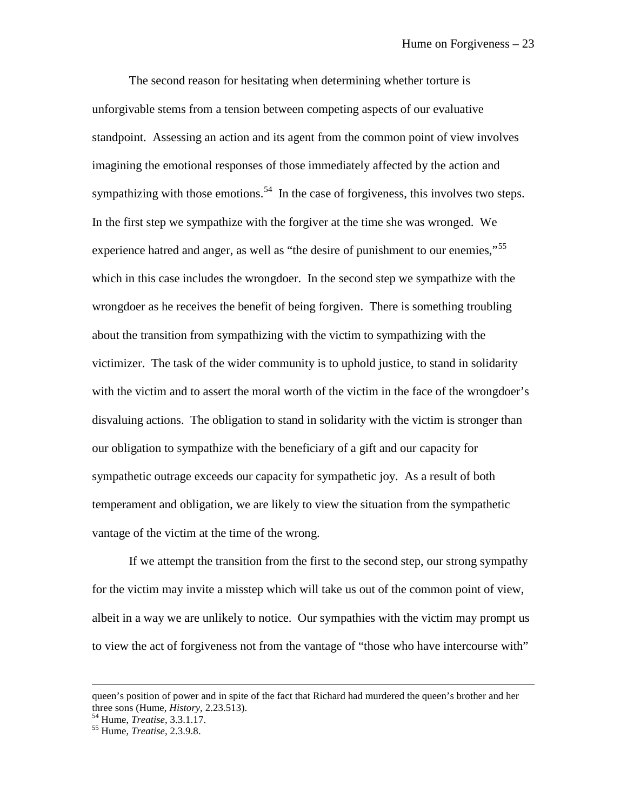The second reason for hesitating when determining whether torture is unforgivable stems from a tension between competing aspects of our evaluative standpoint. Assessing an action and its agent from the common point of view involves imagining the emotional responses of those immediately affected by the action and sympathizing with those emotions.<sup>[54](#page-23-0)</sup> In the case of forgiveness, this involves two steps. In the first step we sympathize with the forgiver at the time she was wronged. We experience hatred and anger, as well as "the desire of punishment to our enemies,"<sup>[55](#page-23-1)</sup> which in this case includes the wrongdoer. In the second step we sympathize with the wrongdoer as he receives the benefit of being forgiven. There is something troubling about the transition from sympathizing with the victim to sympathizing with the victimizer. The task of the wider community is to uphold justice, to stand in solidarity with the victim and to assert the moral worth of the victim in the face of the wrongdoer's disvaluing actions. The obligation to stand in solidarity with the victim is stronger than our obligation to sympathize with the beneficiary of a gift and our capacity for sympathetic outrage exceeds our capacity for sympathetic joy. As a result of both temperament and obligation, we are likely to view the situation from the sympathetic vantage of the victim at the time of the wrong.

If we attempt the transition from the first to the second step, our strong sympathy for the victim may invite a misstep which will take us out of the common point of view, albeit in a way we are unlikely to notice. Our sympathies with the victim may prompt us to view the act of forgiveness not from the vantage of "those who have intercourse with"

queen's position of power and in spite of the fact that Richard had murdered the queen's brother and her three sons (Hume, *History*, 2.23.513).<br><sup>54</sup> Hume, *Treatise*, 3.3.1.17.<br><sup>55</sup> Hume, *Treatise*, 2.3.9.8.

<span id="page-23-0"></span>

<span id="page-23-1"></span>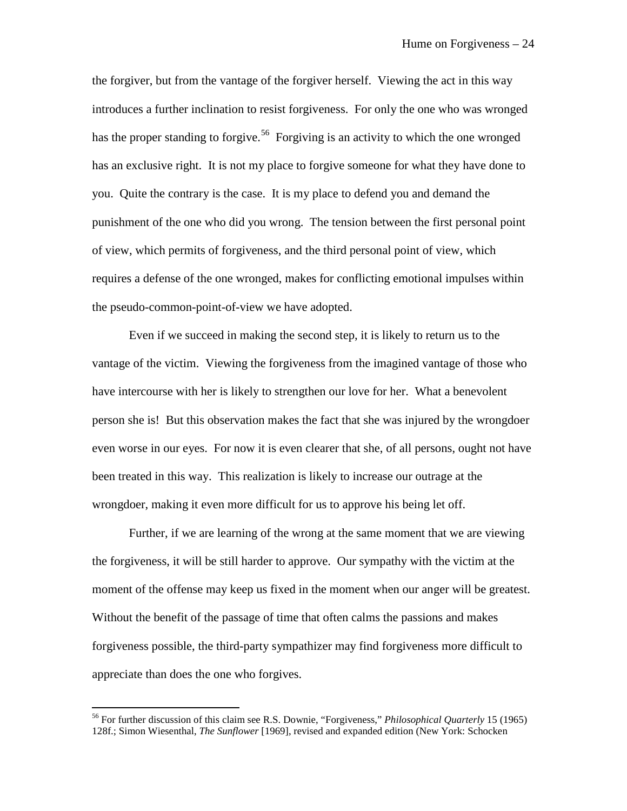the forgiver, but from the vantage of the forgiver herself. Viewing the act in this way introduces a further inclination to resist forgiveness. For only the one who was wronged has the proper standing to forgive.<sup>[56](#page-24-0)</sup> Forgiving is an activity to which the one wronged has an exclusive right. It is not my place to forgive someone for what they have done to you. Quite the contrary is the case. It is my place to defend you and demand the punishment of the one who did you wrong. The tension between the first personal point of view, which permits of forgiveness, and the third personal point of view, which requires a defense of the one wronged, makes for conflicting emotional impulses within the pseudo-common-point-of-view we have adopted.

Even if we succeed in making the second step, it is likely to return us to the vantage of the victim. Viewing the forgiveness from the imagined vantage of those who have intercourse with her is likely to strengthen our love for her. What a benevolent person she is! But this observation makes the fact that she was injured by the wrongdoer even worse in our eyes. For now it is even clearer that she, of all persons, ought not have been treated in this way. This realization is likely to increase our outrage at the wrongdoer, making it even more difficult for us to approve his being let off.

Further, if we are learning of the wrong at the same moment that we are viewing the forgiveness, it will be still harder to approve. Our sympathy with the victim at the moment of the offense may keep us fixed in the moment when our anger will be greatest. Without the benefit of the passage of time that often calms the passions and makes forgiveness possible, the third-party sympathizer may find forgiveness more difficult to appreciate than does the one who forgives.

<span id="page-24-0"></span><sup>56</sup> For further discussion of this claim see R.S. Downie, "Forgiveness," *Philosophical Quarterly* 15 (1965) 128f.; Simon Wiesenthal, *The Sunflower* [1969], revised and expanded edition (New York: Schocken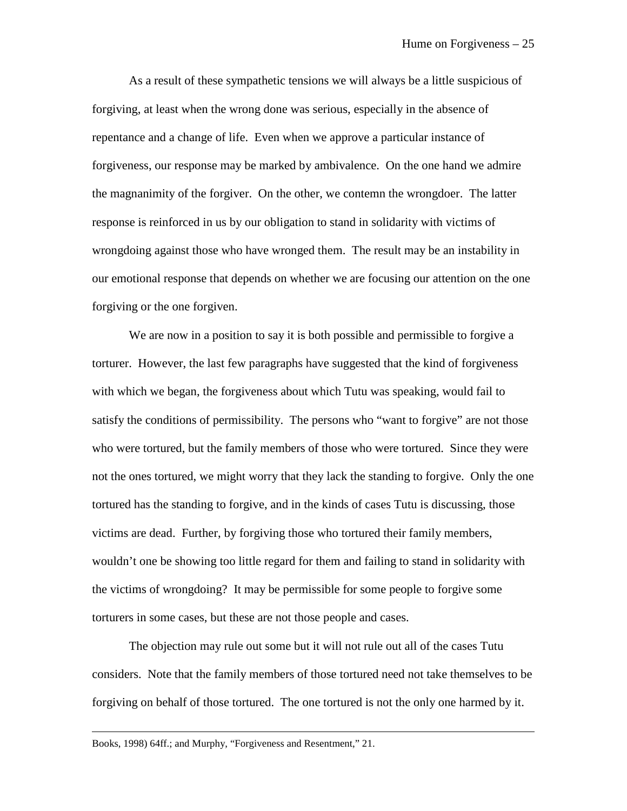As a result of these sympathetic tensions we will always be a little suspicious of forgiving, at least when the wrong done was serious, especially in the absence of repentance and a change of life. Even when we approve a particular instance of forgiveness, our response may be marked by ambivalence. On the one hand we admire the magnanimity of the forgiver. On the other, we contemn the wrongdoer. The latter response is reinforced in us by our obligation to stand in solidarity with victims of wrongdoing against those who have wronged them. The result may be an instability in our emotional response that depends on whether we are focusing our attention on the one forgiving or the one forgiven.

We are now in a position to say it is both possible and permissible to forgive a torturer. However, the last few paragraphs have suggested that the kind of forgiveness with which we began, the forgiveness about which Tutu was speaking, would fail to satisfy the conditions of permissibility. The persons who "want to forgive" are not those who were tortured, but the family members of those who were tortured. Since they were not the ones tortured, we might worry that they lack the standing to forgive. Only the one tortured has the standing to forgive, and in the kinds of cases Tutu is discussing, those victims are dead. Further, by forgiving those who tortured their family members, wouldn't one be showing too little regard for them and failing to stand in solidarity with the victims of wrongdoing? It may be permissible for some people to forgive some torturers in some cases, but these are not those people and cases.

The objection may rule out some but it will not rule out all of the cases Tutu considers. Note that the family members of those tortured need not take themselves to be forgiving on behalf of those tortured. The one tortured is not the only one harmed by it.

Books, 1998) 64ff.; and Murphy, "Forgiveness and Resentment," 21.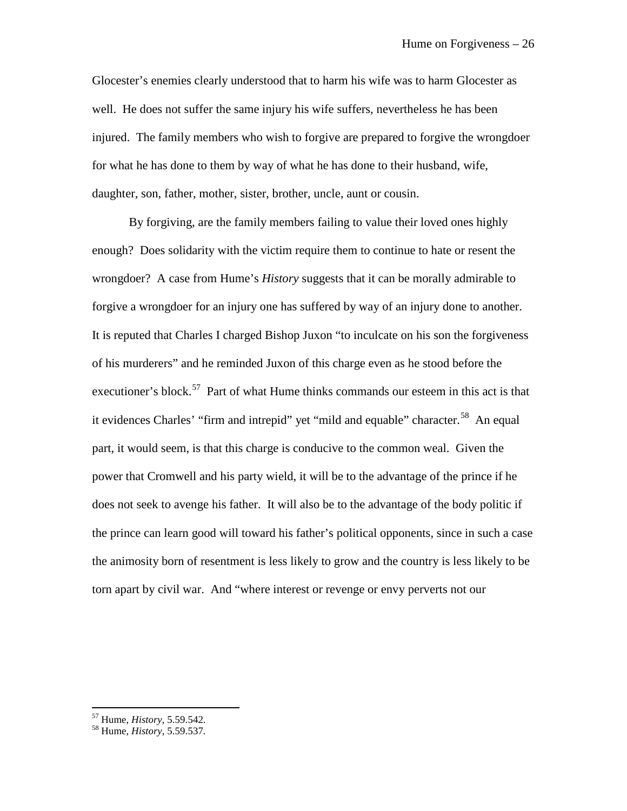Glocester's enemies clearly understood that to harm his wife was to harm Glocester as well. He does not suffer the same injury his wife suffers, nevertheless he has been injured. The family members who wish to forgive are prepared to forgive the wrongdoer for what he has done to them by way of what he has done to their husband, wife, daughter, son, father, mother, sister, brother, uncle, aunt or cousin.

By forgiving, are the family members failing to value their loved ones highly enough? Does solidarity with the victim require them to continue to hate or resent the wrongdoer? A case from Hume's *History* suggests that it can be morally admirable to forgive a wrongdoer for an injury one has suffered by way of an injury done to another. It is reputed that Charles I charged Bishop Juxon "to inculcate on his son the forgiveness of his murderers" and he reminded Juxon of this charge even as he stood before the executioner's block.<sup>57</sup> Part of what Hume thinks commands our esteem in this act is that it evidences Charles' "firm and intrepid" yet "mild and equable" character.<sup>[58](#page-26-1)</sup> An equal part, it would seem, is that this charge is conducive to the common weal. Given the power that Cromwell and his party wield, it will be to the advantage of the prince if he does not seek to avenge his father. It will also be to the advantage of the body politic if the prince can learn good will toward his father's political opponents, since in such a case the animosity born of resentment is less likely to grow and the country is less likely to be torn apart by civil war. And "where interest or revenge or envy perverts not our

<span id="page-26-0"></span> $57$  Hume, *History*, 5.59.542.

<span id="page-26-1"></span><sup>57</sup> Hume, *History*, 5.59.542. <sup>58</sup> Hume, *History*, 5.59.537.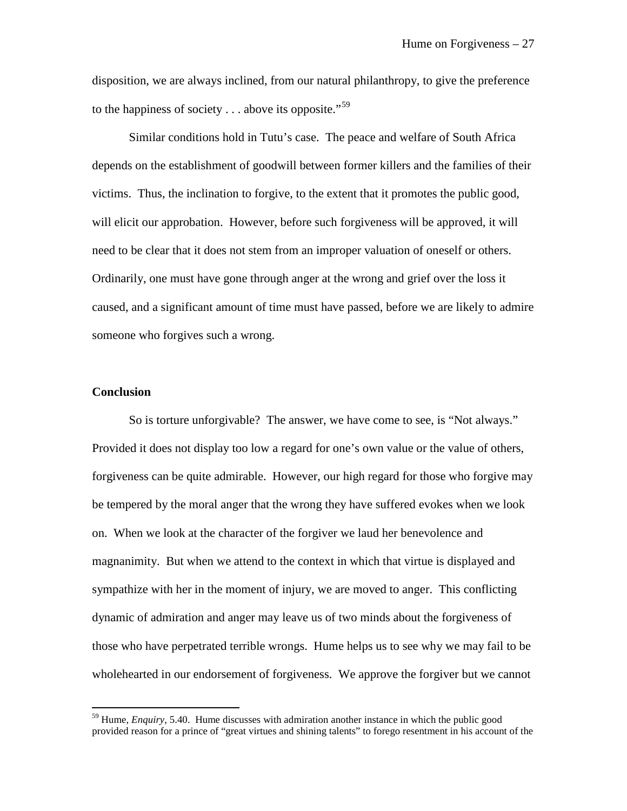disposition, we are always inclined, from our natural philanthropy, to give the preference to the happiness of society  $\dots$  above its opposite."<sup>[59](#page-27-0)</sup>

Similar conditions hold in Tutu's case. The peace and welfare of South Africa depends on the establishment of goodwill between former killers and the families of their victims. Thus, the inclination to forgive, to the extent that it promotes the public good, will elicit our approbation. However, before such forgiveness will be approved, it will need to be clear that it does not stem from an improper valuation of oneself or others. Ordinarily, one must have gone through anger at the wrong and grief over the loss it caused, and a significant amount of time must have passed, before we are likely to admire someone who forgives such a wrong.

#### **Conclusion**

 $\overline{a}$ 

So is torture unforgivable? The answer, we have come to see, is "Not always." Provided it does not display too low a regard for one's own value or the value of others, forgiveness can be quite admirable. However, our high regard for those who forgive may be tempered by the moral anger that the wrong they have suffered evokes when we look on. When we look at the character of the forgiver we laud her benevolence and magnanimity. But when we attend to the context in which that virtue is displayed and sympathize with her in the moment of injury, we are moved to anger. This conflicting dynamic of admiration and anger may leave us of two minds about the forgiveness of those who have perpetrated terrible wrongs. Hume helps us to see why we may fail to be wholehearted in our endorsement of forgiveness. We approve the forgiver but we cannot

<span id="page-27-0"></span><sup>&</sup>lt;sup>59</sup> Hume, *Enquiry*, 5.40. Hume discusses with admiration another instance in which the public good provided reason for a prince of "great virtues and shining talents" to forego resentment in his account of the